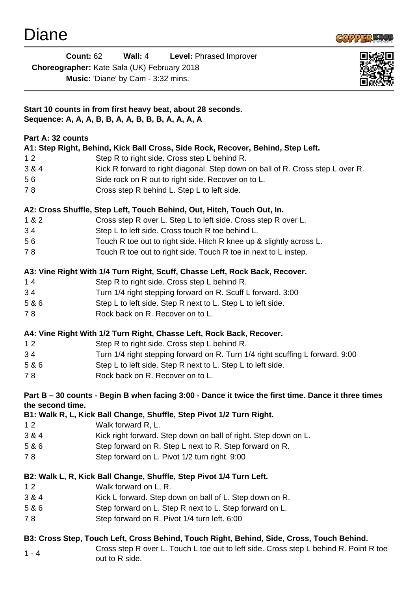

| Diane             |                                                                                                     |                       |                                               |                                                                     |                                                                                       |  |
|-------------------|-----------------------------------------------------------------------------------------------------|-----------------------|-----------------------------------------------|---------------------------------------------------------------------|---------------------------------------------------------------------------------------|--|
|                   | <b>Count: 62</b>                                                                                    | Wall: $4$             |                                               | Level: Phrased Improver                                             |                                                                                       |  |
|                   | Choreographer: Kate Sala (UK) February 2018                                                         |                       |                                               |                                                                     |                                                                                       |  |
|                   | Music: 'Diane' by Cam - 3:32 mins.                                                                  |                       |                                               |                                                                     |                                                                                       |  |
|                   | Start 10 counts in from first heavy beat, about 28 seconds.                                         |                       |                                               |                                                                     |                                                                                       |  |
|                   | Sequence: A, A, A, B, B, A, A, B, B, B, A, A, A, A                                                  |                       |                                               |                                                                     |                                                                                       |  |
| Part A: 32 counts |                                                                                                     |                       |                                               |                                                                     |                                                                                       |  |
|                   | A1: Step Right, Behind, Kick Ball Cross, Side Rock, Recover, Behind, Step Left.                     |                       |                                               |                                                                     |                                                                                       |  |
| 12                |                                                                                                     |                       | Step R to right side. Cross step L behind R.  |                                                                     |                                                                                       |  |
| 3 & 4             |                                                                                                     |                       |                                               |                                                                     | Kick R forward to right diagonal. Step down on ball of R. Cross step L over R.        |  |
| 56                |                                                                                                     |                       |                                               | Side rock on R out to right side. Recover on to L.                  |                                                                                       |  |
| 78                |                                                                                                     |                       | Cross step R behind L. Step L to left side.   |                                                                     |                                                                                       |  |
|                   | A2: Cross Shuffle, Step Left, Touch Behind, Out, Hitch, Touch Out, In.                              |                       |                                               |                                                                     |                                                                                       |  |
| 1 & 2             |                                                                                                     |                       |                                               | Cross step R over L. Step L to left side. Cross step R over L.      |                                                                                       |  |
| 34                |                                                                                                     |                       |                                               | Step L to left side. Cross touch R toe behind L.                    |                                                                                       |  |
| 56                |                                                                                                     |                       |                                               | Touch R toe out to right side. Hitch R knee up & slightly across L. |                                                                                       |  |
| 78                |                                                                                                     |                       |                                               | Touch R toe out to right side. Touch R toe in next to L instep.     |                                                                                       |  |
|                   | A3: Vine Right With 1/4 Turn Right, Scuff, Chasse Left, Rock Back, Recover.                         |                       |                                               |                                                                     |                                                                                       |  |
| $14$              |                                                                                                     |                       | Step R to right side. Cross step L behind R.  |                                                                     |                                                                                       |  |
| 34                |                                                                                                     |                       |                                               | Turn 1/4 right stepping forward on R. Scuff L forward. 3:00         |                                                                                       |  |
| 5 & 6             |                                                                                                     |                       |                                               | Step L to left side. Step R next to L. Step L to left side.         |                                                                                       |  |
| 78                |                                                                                                     |                       | Rock back on R. Recover on to L.              |                                                                     |                                                                                       |  |
|                   | A4: Vine Right With 1/2 Turn Right, Chasse Left, Rock Back, Recover.                                |                       |                                               |                                                                     |                                                                                       |  |
| 12                |                                                                                                     |                       | Step R to right side. Cross step L behind R.  |                                                                     |                                                                                       |  |
| 34                |                                                                                                     |                       |                                               |                                                                     | Turn 1/4 right stepping forward on R. Turn 1/4 right scuffing L forward. 9:00         |  |
| 5 & 6             |                                                                                                     |                       |                                               | Step L to left side. Step R next to L. Step L to left side.         |                                                                                       |  |
| 78                |                                                                                                     |                       | Rock back on R. Recover on to L.              |                                                                     |                                                                                       |  |
|                   | Part B - 30 counts - Begin B when facing 3:00 - Dance it twice the first time. Dance it three times |                       |                                               |                                                                     |                                                                                       |  |
| the second time.  |                                                                                                     |                       |                                               |                                                                     |                                                                                       |  |
|                   | B1: Walk R, L, Kick Ball Change, Shuffle, Step Pivot 1/2 Turn Right.                                |                       |                                               |                                                                     |                                                                                       |  |
| 12                |                                                                                                     | Walk forward R, L.    |                                               |                                                                     |                                                                                       |  |
| 3 & 4             |                                                                                                     |                       |                                               | Kick right forward. Step down on ball of right. Step down on L.     |                                                                                       |  |
| 5 & 6             |                                                                                                     |                       |                                               | Step forward on R. Step L next to R. Step forward on R.             |                                                                                       |  |
| 78                |                                                                                                     |                       | Step forward on L. Pivot 1/2 turn right. 9:00 |                                                                     |                                                                                       |  |
|                   | B2: Walk L, R, Kick Ball Change, Shuffle, Step Pivot 1/4 Turn Left.                                 |                       |                                               |                                                                     |                                                                                       |  |
| 12                |                                                                                                     | Walk forward on L, R. |                                               |                                                                     |                                                                                       |  |
| 3 & 4             |                                                                                                     |                       |                                               | Kick L forward. Step down on ball of L. Step down on R.             |                                                                                       |  |
| 5 & 6             |                                                                                                     |                       |                                               | Step forward on L. Step R next to L. Step forward on L.             |                                                                                       |  |
| 78                |                                                                                                     |                       | Step forward on R. Pivot 1/4 turn left. 6:00  |                                                                     |                                                                                       |  |
|                   | B3: Cross Step, Touch Left, Cross Behind, Touch Right, Behind, Side, Cross, Touch Behind.           |                       |                                               |                                                                     |                                                                                       |  |
| $1 - 4$           |                                                                                                     |                       |                                               |                                                                     | Cross step R over L. Touch L toe out to left side. Cross step L behind R. Point R toe |  |
|                   | out to R side.                                                                                      |                       |                                               |                                                                     |                                                                                       |  |